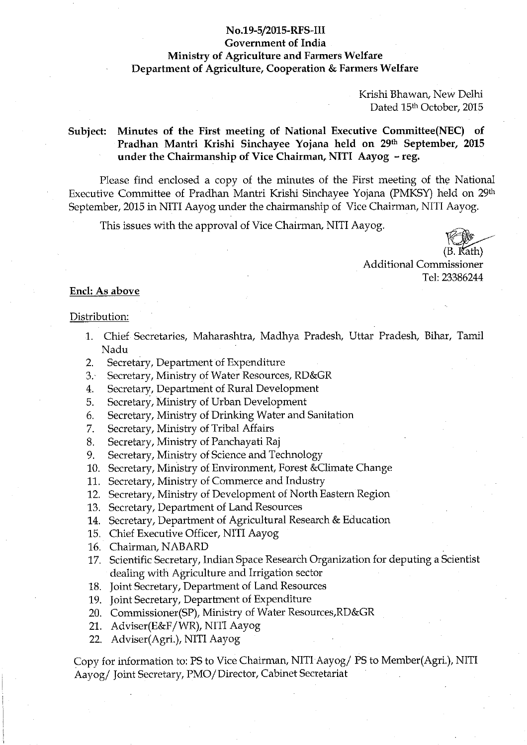#### No.19-5/2015-RFS-III

**Government of India** 

### **Ministry of Agriculture and Farmers Welfare** Department of Agriculture, Cooperation & Farmers Welfare

Krishi Bhawan, New Delhi Dated 15th October, 2015

#### Minutes of the First meeting of National Executive Committee(NEC) of Subject: Pradhan Mantri Krishi Sinchayee Yojana held on 29th September, 2015 under the Chairmanship of Vice Chairman, NITI Aayog - reg.

Please find enclosed a copy of the minutes of the First meeting of the National Executive Committee of Pradhan Mantri Krishi Sinchayee Yojana (PMKSY) held on 29<sup>th</sup> September, 2015 in NITI Aayog under the chairmanship of Vice Chairman, NITI Aayog.

This issues with the approval of Vice Chairman, NITI Aayog.

Kath)

**Additional Commissioner** Tel: 23386244

#### Encl: As above

#### Distribution:

- 1. Chief Secretaries, Maharashtra, Madhya Pradesh, Uttar Pradesh, Bihar, Tamil Nadu
- Secretary, Department of Expenditure  $2.$
- 3. Secretary, Ministry of Water Resources, RD&GR
- Secretary, Department of Rural Development 4.
- Secretary, Ministry of Urban Development 5.
- Secretary, Ministry of Drinking Water and Sanitation 6.
- Secretary, Ministry of Tribal Affairs 7.
- 8. Secretary, Ministry of Panchayati Raj
- Secretary, Ministry of Science and Technology 9.
- 10. Secretary, Ministry of Environment, Forest & Climate Change
- 11. Secretary, Ministry of Commerce and Industry
- 12. Secretary, Ministry of Development of North Eastern Region
- 13. Secretary, Department of Land Resources
- 14. Secretary, Department of Agricultural Research & Education
- 15. Chief Executive Officer, NITI Aayog
- 16. Chairman, NABARD
- 17. Scientific Secretary, Indian Space Research Organization for deputing a Scientist dealing with Agriculture and Irrigation sector
- 18. Joint Secretary, Department of Land Resources
- 19. Joint Secretary, Department of Expenditure
- 20. Commissioner(SP), Ministry of Water Resources, RD&GR
- 21. Adviser(E&F/WR), NITI Aayog
- 22. Adviser(Agri.), NITI Aayog

Copy for information to: PS to Vice Chairman, NITI Aayog/ PS to Member(Agri.), NITI Aayog/ Joint Secretary, PMO/Director, Cabinet Secretariat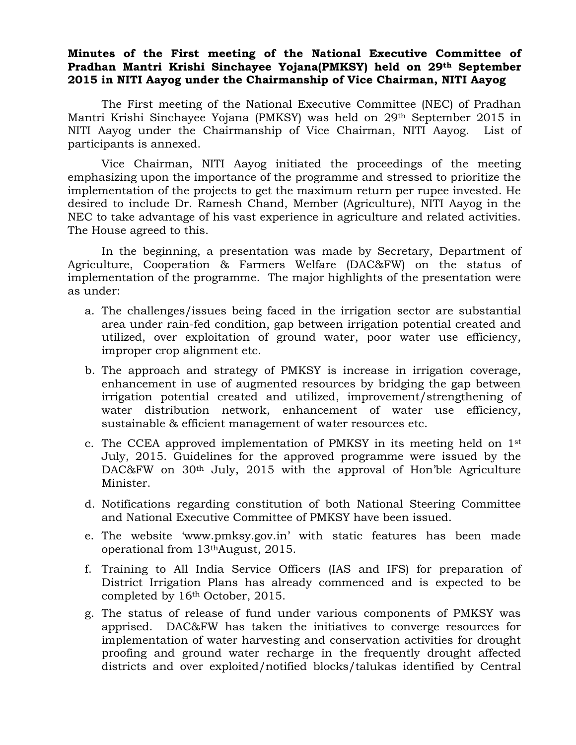# **Minutes of the First meeting of the National Executive Committee of Pradhan Mantri Krishi Sinchayee Yojana(PMKSY) held on 29th September 2015 in NITI Aayog under the Chairmanship of Vice Chairman, NITI Aayog**

The First meeting of the National Executive Committee (NEC) of Pradhan Mantri Krishi Sinchayee Yojana (PMKSY) was held on 29th September 2015 in NITI Aayog under the Chairmanship of Vice Chairman, NITI Aayog. List of participants is annexed.

Vice Chairman, NITI Aayog initiated the proceedings of the meeting emphasizing upon the importance of the programme and stressed to prioritize the implementation of the projects to get the maximum return per rupee invested. He desired to include Dr. Ramesh Chand, Member (Agriculture), NITI Aayog in the NEC to take advantage of his vast experience in agriculture and related activities. The House agreed to this.

In the beginning, a presentation was made by Secretary, Department of Agriculture, Cooperation & Farmers Welfare (DAC&FW) on the status of implementation of the programme. The major highlights of the presentation were as under:

- a. The challenges/issues being faced in the irrigation sector are substantial area under rain-fed condition, gap between irrigation potential created and utilized, over exploitation of ground water, poor water use efficiency, improper crop alignment etc.
- b. The approach and strategy of PMKSY is increase in irrigation coverage, enhancement in use of augmented resources by bridging the gap between irrigation potential created and utilized, improvement/strengthening of water distribution network, enhancement of water use efficiency, sustainable & efficient management of water resources etc.
- c. The CCEA approved implementation of PMKSY in its meeting held on  $1<sup>st</sup>$ July, 2015. Guidelines for the approved programme were issued by the DAC&FW on 30<sup>th</sup> July, 2015 with the approval of Hon'ble Agriculture Minister.
- d. Notifications regarding constitution of both National Steering Committee and National Executive Committee of PMKSY have been issued.
- e. The website 'www.pmksy.gov.in' with static features has been made operational from 13thAugust, 2015.
- f. Training to All India Service Officers (IAS and IFS) for preparation of District Irrigation Plans has already commenced and is expected to be completed by 16th October, 2015.
- g. The status of release of fund under various components of PMKSY was apprised. DAC&FW has taken the initiatives to converge resources for implementation of water harvesting and conservation activities for drought proofing and ground water recharge in the frequently drought affected districts and over exploited/notified blocks/talukas identified by Central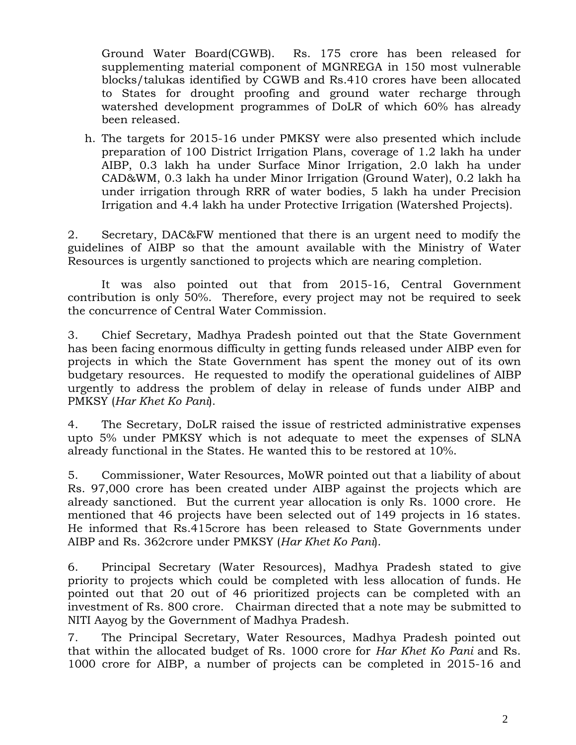Ground Water Board(CGWB). Rs. 175 crore has been released for supplementing material component of MGNREGA in 150 most vulnerable blocks/talukas identified by CGWB and Rs.410 crores have been allocated to States for drought proofing and ground water recharge through watershed development programmes of DoLR of which 60% has already been released.

h. The targets for 2015-16 under PMKSY were also presented which include preparation of 100 District Irrigation Plans, coverage of 1.2 lakh ha under AIBP, 0.3 lakh ha under Surface Minor Irrigation, 2.0 lakh ha under CAD&WM, 0.3 lakh ha under Minor Irrigation (Ground Water), 0.2 lakh ha under irrigation through RRR of water bodies, 5 lakh ha under Precision Irrigation and 4.4 lakh ha under Protective Irrigation (Watershed Projects).

2. Secretary, DAC&FW mentioned that there is an urgent need to modify the guidelines of AIBP so that the amount available with the Ministry of Water Resources is urgently sanctioned to projects which are nearing completion.

It was also pointed out that from 2015-16, Central Government contribution is only 50%. Therefore, every project may not be required to seek the concurrence of Central Water Commission.

3. Chief Secretary, Madhya Pradesh pointed out that the State Government has been facing enormous difficulty in getting funds released under AIBP even for projects in which the State Government has spent the money out of its own budgetary resources. He requested to modify the operational guidelines of AIBP urgently to address the problem of delay in release of funds under AIBP and PMKSY (*Har Khet Ko Pani*).

4. The Secretary, DoLR raised the issue of restricted administrative expenses upto 5% under PMKSY which is not adequate to meet the expenses of SLNA already functional in the States. He wanted this to be restored at 10%.

5. Commissioner, Water Resources, MoWR pointed out that a liability of about Rs. 97,000 crore has been created under AIBP against the projects which are already sanctioned. But the current year allocation is only Rs. 1000 crore. He mentioned that 46 projects have been selected out of 149 projects in 16 states. He informed that Rs.415crore has been released to State Governments under AIBP and Rs. 362crore under PMKSY (*Har Khet Ko Pani*).

6. Principal Secretary (Water Resources), Madhya Pradesh stated to give priority to projects which could be completed with less allocation of funds. He pointed out that 20 out of 46 prioritized projects can be completed with an investment of Rs. 800 crore. Chairman directed that a note may be submitted to NITI Aayog by the Government of Madhya Pradesh.

7. The Principal Secretary, Water Resources, Madhya Pradesh pointed out that within the allocated budget of Rs. 1000 crore for *Har Khet Ko Pani* and Rs. 1000 crore for AIBP, a number of projects can be completed in 2015-16 and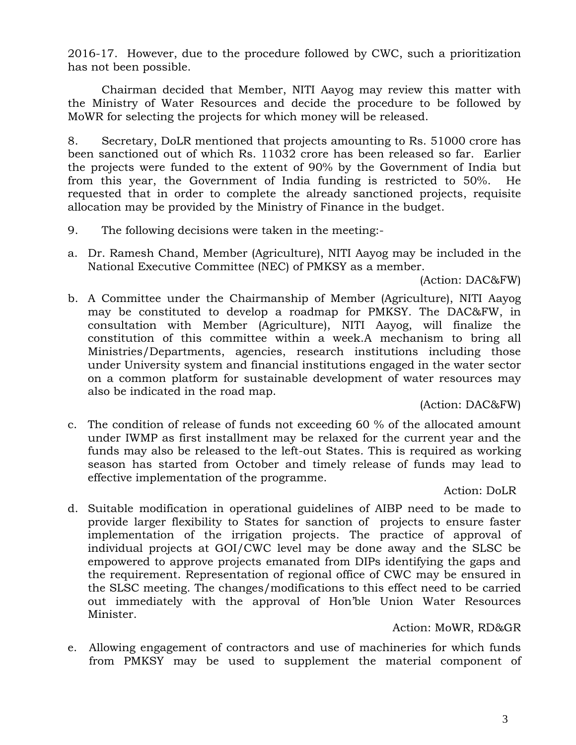2016-17. However, due to the procedure followed by CWC, such a prioritization has not been possible.

Chairman decided that Member, NITI Aayog may review this matter with the Ministry of Water Resources and decide the procedure to be followed by MoWR for selecting the projects for which money will be released.

8. Secretary, DoLR mentioned that projects amounting to Rs. 51000 crore has been sanctioned out of which Rs. 11032 crore has been released so far. Earlier the projects were funded to the extent of 90% by the Government of India but from this year, the Government of India funding is restricted to 50%. He requested that in order to complete the already sanctioned projects, requisite allocation may be provided by the Ministry of Finance in the budget.

- 9. The following decisions were taken in the meeting:-
- a. Dr. Ramesh Chand, Member (Agriculture), NITI Aayog may be included in the National Executive Committee (NEC) of PMKSY as a member.

### (Action: DAC&FW)

b. A Committee under the Chairmanship of Member (Agriculture), NITI Aayog may be constituted to develop a roadmap for PMKSY. The DAC&FW, in consultation with Member (Agriculture), NITI Aayog, will finalize the constitution of this committee within a week.A mechanism to bring all Ministries/Departments, agencies, research institutions including those under University system and financial institutions engaged in the water sector on a common platform for sustainable development of water resources may also be indicated in the road map.

# (Action: DAC&FW)

c. The condition of release of funds not exceeding 60 % of the allocated amount under IWMP as first installment may be relaxed for the current year and the funds may also be released to the left-out States. This is required as working season has started from October and timely release of funds may lead to effective implementation of the programme.

# Action: DoLR

d. Suitable modification in operational guidelines of AIBP need to be made to provide larger flexibility to States for sanction of projects to ensure faster implementation of the irrigation projects. The practice of approval of individual projects at GOI/CWC level may be done away and the SLSC be empowered to approve projects emanated from DIPs identifying the gaps and the requirement. Representation of regional office of CWC may be ensured in the SLSC meeting. The changes/modifications to this effect need to be carried out immediately with the approval of Hon'ble Union Water Resources Minister.

# Action: MoWR, RD&GR

e. Allowing engagement of contractors and use of machineries for which funds from PMKSY may be used to supplement the material component of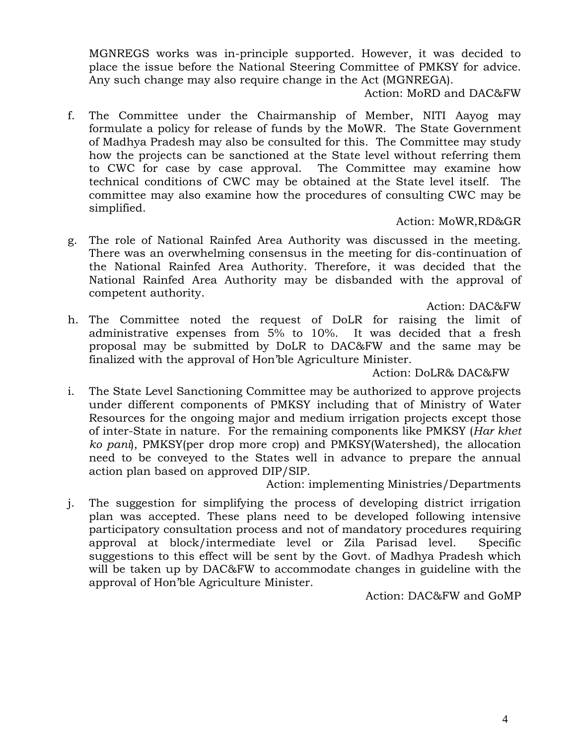MGNREGS works was in-principle supported. However, it was decided to place the issue before the National Steering Committee of PMKSY for advice. Any such change may also require change in the Act (MGNREGA).

Action: MoRD and DAC&FW

f. The Committee under the Chairmanship of Member, NITI Aayog may formulate a policy for release of funds by the MoWR. The State Government of Madhya Pradesh may also be consulted for this. The Committee may study how the projects can be sanctioned at the State level without referring them to CWC for case by case approval. The Committee may examine how technical conditions of CWC may be obtained at the State level itself. The committee may also examine how the procedures of consulting CWC may be simplified.

### Action: MoWR,RD&GR

g. The role of National Rainfed Area Authority was discussed in the meeting. There was an overwhelming consensus in the meeting for dis-continuation of the National Rainfed Area Authority. Therefore, it was decided that the National Rainfed Area Authority may be disbanded with the approval of competent authority.

#### Action: DAC&FW

h. The Committee noted the request of DoLR for raising the limit of administrative expenses from 5% to 10%. It was decided that a fresh proposal may be submitted by DoLR to DAC&FW and the same may be finalized with the approval of Hon'ble Agriculture Minister.

# Action: DoLR& DAC&FW

i. The State Level Sanctioning Committee may be authorized to approve projects under different components of PMKSY including that of Ministry of Water Resources for the ongoing major and medium irrigation projects except those of inter-State in nature. For the remaining components like PMKSY (*Har khet ko pani*), PMKSY(per drop more crop) and PMKSY(Watershed), the allocation need to be conveyed to the States well in advance to prepare the annual action plan based on approved DIP/SIP.

Action: implementing Ministries/Departments

j. The suggestion for simplifying the process of developing district irrigation plan was accepted. These plans need to be developed following intensive participatory consultation process and not of mandatory procedures requiring approval at block/intermediate level or Zila Parisad level. Specific suggestions to this effect will be sent by the Govt. of Madhya Pradesh which will be taken up by DAC&FW to accommodate changes in guideline with the approval of Hon'ble Agriculture Minister.

Action: DAC&FW and GoMP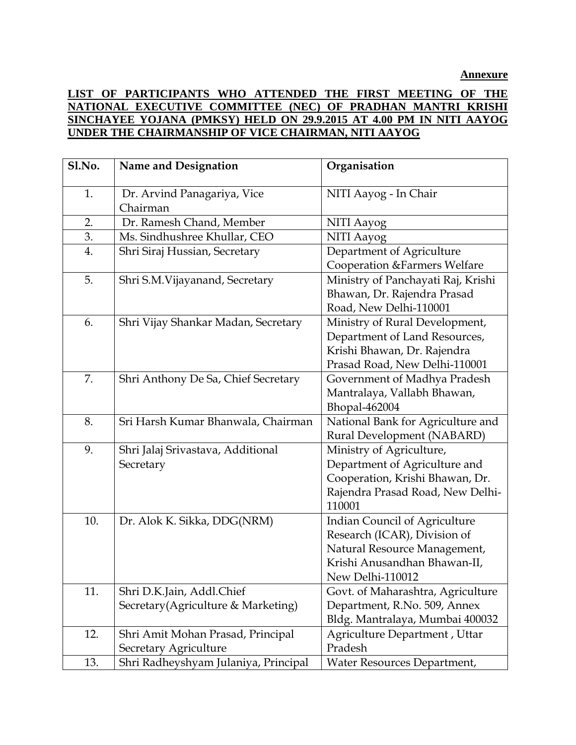# **LIST OF PARTICIPANTS WHO ATTENDED THE FIRST MEETING OF THE NATIONAL EXECUTIVE COMMITTEE (NEC) OF PRADHAN MANTRI KRISHI SINCHAYEE YOJANA (PMKSY) HELD ON 29.9.2015 AT 4.00 PM IN NITI AAYOG UNDER THE CHAIRMANSHIP OF VICE CHAIRMAN, NITI AAYOG**

| Sl.No. | Name and Designation                    | Organisation                       |
|--------|-----------------------------------------|------------------------------------|
| 1.     | Dr. Arvind Panagariya, Vice<br>Chairman | NITI Aayog - In Chair              |
| 2.     | Dr. Ramesh Chand, Member                | NITI Aayog                         |
| 3.     | Ms. Sindhushree Khullar, CEO            | NITI Aayog                         |
| 4.     | Shri Siraj Hussian, Secretary           | Department of Agriculture          |
|        |                                         | Cooperation & Farmers Welfare      |
| 5.     | Shri S.M. Vijayanand, Secretary         | Ministry of Panchayati Raj, Krishi |
|        |                                         | Bhawan, Dr. Rajendra Prasad        |
|        |                                         | Road, New Delhi-110001             |
| 6.     | Shri Vijay Shankar Madan, Secretary     | Ministry of Rural Development,     |
|        |                                         | Department of Land Resources,      |
|        |                                         | Krishi Bhawan, Dr. Rajendra        |
|        |                                         | Prasad Road, New Delhi-110001      |
| 7.     | Shri Anthony De Sa, Chief Secretary     | Government of Madhya Pradesh       |
|        |                                         | Mantralaya, Vallabh Bhawan,        |
|        |                                         | Bhopal-462004                      |
| 8.     | Sri Harsh Kumar Bhanwala, Chairman      | National Bank for Agriculture and  |
|        |                                         | Rural Development (NABARD)         |
| 9.     | Shri Jalaj Srivastava, Additional       | Ministry of Agriculture,           |
|        | Secretary                               | Department of Agriculture and      |
|        |                                         | Cooperation, Krishi Bhawan, Dr.    |
|        |                                         | Rajendra Prasad Road, New Delhi-   |
|        |                                         | 110001                             |
| 10.    | Dr. Alok K. Sikka, DDG(NRM)             | Indian Council of Agriculture      |
|        |                                         | Research (ICAR), Division of       |
|        |                                         | Natural Resource Management,       |
|        |                                         | Krishi Anusandhan Bhawan-II,       |
|        |                                         | New Delhi-110012                   |
| 11.    | Shri D.K.Jain, Addl.Chief               | Govt. of Maharashtra, Agriculture  |
|        | Secretary (Agriculture & Marketing)     | Department, R.No. 509, Annex       |
|        |                                         | Bldg. Mantralaya, Mumbai 400032    |
| 12.    | Shri Amit Mohan Prasad, Principal       | Agriculture Department, Uttar      |
|        | Secretary Agriculture                   | Pradesh                            |
| 13.    | Shri Radheyshyam Julaniya, Principal    | <b>Water Resources Department,</b> |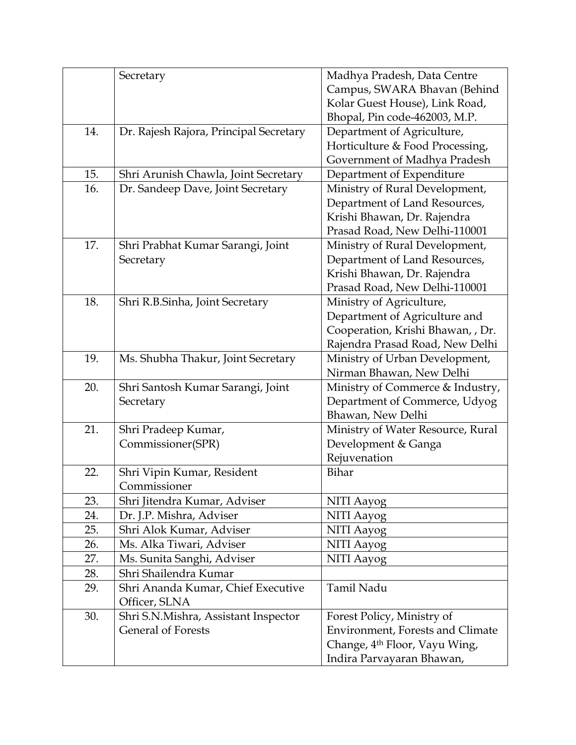|     | Secretary                              | Madhya Pradesh, Data Centre               |
|-----|----------------------------------------|-------------------------------------------|
|     |                                        | Campus, SWARA Bhavan (Behind              |
|     |                                        | Kolar Guest House), Link Road,            |
|     |                                        | Bhopal, Pin code-462003, M.P.             |
| 14. | Dr. Rajesh Rajora, Principal Secretary | Department of Agriculture,                |
|     |                                        | Horticulture & Food Processing,           |
|     |                                        | Government of Madhya Pradesh              |
| 15. | Shri Arunish Chawla, Joint Secretary   | Department of Expenditure                 |
| 16. | Dr. Sandeep Dave, Joint Secretary      | Ministry of Rural Development,            |
|     |                                        | Department of Land Resources,             |
|     |                                        | Krishi Bhawan, Dr. Rajendra               |
|     |                                        | Prasad Road, New Delhi-110001             |
| 17. | Shri Prabhat Kumar Sarangi, Joint      | Ministry of Rural Development,            |
|     | Secretary                              | Department of Land Resources,             |
|     |                                        | Krishi Bhawan, Dr. Rajendra               |
|     |                                        | Prasad Road, New Delhi-110001             |
| 18. | Shri R.B.Sinha, Joint Secretary        | Ministry of Agriculture,                  |
|     |                                        | Department of Agriculture and             |
|     |                                        | Cooperation, Krishi Bhawan, , Dr.         |
|     |                                        | Rajendra Prasad Road, New Delhi           |
| 19. | Ms. Shubha Thakur, Joint Secretary     | Ministry of Urban Development,            |
|     |                                        | Nirman Bhawan, New Delhi                  |
| 20. | Shri Santosh Kumar Sarangi, Joint      | Ministry of Commerce & Industry,          |
|     | Secretary                              | Department of Commerce, Udyog             |
|     |                                        | Bhawan, New Delhi                         |
| 21. | Shri Pradeep Kumar,                    | Ministry of Water Resource, Rural         |
|     | Commissioner(SPR)                      | Development & Ganga                       |
|     |                                        | Rejuvenation                              |
| 22. | Shri Vipin Kumar, Resident             | <b>Bihar</b>                              |
|     | Commissioner                           |                                           |
| 23. | Shri Jitendra Kumar, Adviser           | NITI Aayog                                |
| 24. | Dr. J.P. Mishra, Adviser               | NITI Aayog                                |
| 25. | Shri Alok Kumar, Adviser               | NITI Aayog                                |
| 26. | Ms. Alka Tiwari, Adviser               | NITI Aayog                                |
| 27. | Ms. Sunita Sanghi, Adviser             | NITI Aayog                                |
| 28. | Shri Shailendra Kumar                  |                                           |
| 29. | Shri Ananda Kumar, Chief Executive     | Tamil Nadu                                |
|     | Officer, SLNA                          |                                           |
| 30. | Shri S.N.Mishra, Assistant Inspector   | Forest Policy, Ministry of                |
|     | <b>General of Forests</b>              | Environment, Forests and Climate          |
|     |                                        | Change, 4 <sup>th</sup> Floor, Vayu Wing, |
|     |                                        | Indira Parvayaran Bhawan,                 |